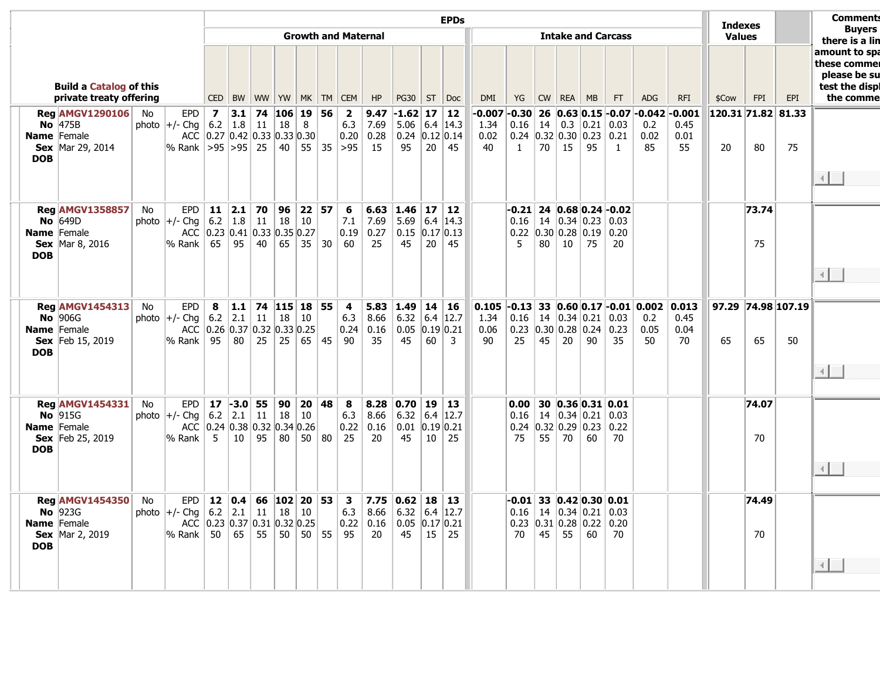|                                                           |                                  |                                                                   |    |                                                             |                         |                                                                       |                |                         |                             | <b>EPDs</b><br><b>Indexes</b><br><b>Growth and Maternal</b><br><b>Intake and Carcass</b><br><b>Values</b><br><b>FPI</b><br>CED   BW   WW   YW   MK   TM   CEM  <br>HP<br>$PG30$   ST   Doc<br>DMI<br>YG<br>CW   REA   MB<br>FT<br><b>ADG</b><br><b>RFI</b><br>\$Cow<br>56<br>9.47<br>$-1.62$ 17<br>$-0.007$ $-0.30$<br>26<br>$ 0.63 0.15 $ -0.07 -0.042 -0.001<br>$ 120.31 $ 71.82 81.33<br>$\overline{\mathbf{2}}$<br>$\vert$ 12<br>0.3<br>6.3<br>7.69<br>$5.06$ 6.4 14.3<br>1.34<br>0.16<br>14<br> 0.21<br>0.45<br>0.03<br>0.2<br>0.24 $ 0.12 0.14$<br>0.02<br>0.24<br> 0.32 0.30 0.23<br>0.21<br>0.02<br>0.20<br>0.28<br>0.01<br>45<br>70<br>15<br>$55 \mid 35 \mid > 95$<br>15<br>95<br>20 <sup>1</sup><br>40<br>$\mathbf{1}$<br>95<br>85<br>55<br>80<br>20<br>-1 |                        |                                                           |                                                         |                          |                |                                     |                                                     |    |                                                    |                                |                    | <b>Comments</b>                                 |                             |                          |             |     |                                                                              |
|-----------------------------------------------------------|----------------------------------|-------------------------------------------------------------------|----|-------------------------------------------------------------|-------------------------|-----------------------------------------------------------------------|----------------|-------------------------|-----------------------------|-----------------------------------------------------------------------------------------------------------------------------------------------------------------------------------------------------------------------------------------------------------------------------------------------------------------------------------------------------------------------------------------------------------------------------------------------------------------------------------------------------------------------------------------------------------------------------------------------------------------------------------------------------------------------------------------------------------------------------------------------------------------------|------------------------|-----------------------------------------------------------|---------------------------------------------------------|--------------------------|----------------|-------------------------------------|-----------------------------------------------------|----|----------------------------------------------------|--------------------------------|--------------------|-------------------------------------------------|-----------------------------|--------------------------|-------------|-----|------------------------------------------------------------------------------|
|                                                           |                                  |                                                                   |    |                                                             |                         |                                                                       |                |                         |                             |                                                                                                                                                                                                                                                                                                                                                                                                                                                                                                                                                                                                                                                                                                                                                                       |                        |                                                           |                                                         |                          |                |                                     |                                                     |    |                                                    |                                |                    |                                                 |                             |                          |             |     | <b>Buyers</b><br>there is a lin                                              |
| <b>Build a Catalog of this</b><br>private treaty offering |                                  |                                                                   |    |                                                             |                         |                                                                       |                |                         |                             |                                                                                                                                                                                                                                                                                                                                                                                                                                                                                                                                                                                                                                                                                                                                                                       |                        |                                                           |                                                         |                          |                |                                     |                                                     |    |                                                    |                                |                    |                                                 |                             |                          |             | EPI | amount to spa<br>these commer<br>please be su<br>test the displ<br>the comme |
|                                                           | <b>Name</b> Female<br><b>DOB</b> | <b>Reg AMGV1290106</b><br>No $ 475B $<br><b>Sex</b> Mar 29, 2014  | No | EPD<br>photo $ +/$ - Chg $ $ 6.2<br> % Rank  >95  >95   25  | $\overline{\mathbf{z}}$ | 3.1 <br> 1.8 11<br>ACC 0.27 0.42 0.33 0.33 0.30                       | 74             | 106 <br>18<br>40        | 19<br>8                     |                                                                                                                                                                                                                                                                                                                                                                                                                                                                                                                                                                                                                                                                                                                                                                       |                        |                                                           |                                                         |                          |                |                                     |                                                     |    |                                                    |                                |                    |                                                 |                             |                          |             | 75  | ⊣⊟                                                                           |
|                                                           | <b>Name</b> Female<br><b>DOB</b> | <b>Reg AMGV1358857</b><br>No $ 649D $<br><b>Sex</b>   Mar 8, 2016 | No | EPD<br>photo $ +/-$ Chg<br>l% Rank                          | 6.2<br>65               | 11   2.1  <br> 1.8<br>ACC 0.23 0.41 0.33 0.35 0.27<br>95              | 70<br>11<br>40 | 96<br>18<br>65          | 22 57<br>10<br>$35 \mid 30$ |                                                                                                                                                                                                                                                                                                                                                                                                                                                                                                                                                                                                                                                                                                                                                                       | 6<br>7.1<br>0.19<br>60 | $6.63$ 1.46<br>7.69<br>0.27<br>25                         | 5.69<br>$0.15$ 0.17 0.13<br>45                          | 17 12<br>20              | 6.4 14.3<br>45 |                                     | $-0.21$ 24 $0.68$ 0.24 $-0.02$<br>0.16<br>0.22<br>5 | 80 | 14   0.34   0.23<br> 0.30 0.28 0.19<br>10          | 75                             | 0.03<br>0.20<br>20 |                                                 |                             |                          | 73.74<br>75 |     |                                                                              |
|                                                           | <b>Name</b> Female<br><b>DOB</b> | <b>Reg AMGV1454313</b><br>No $ 906G $<br><b>Sex</b> Feb 15, 2019  | No | <b>EPD</b><br>photo $ +/$ - Chg   6.2   2.1   11<br> % Rank | 8<br>95                 | $\vert$ 1.1 $\vert$<br>ACC 0.26 0.37 0.32 0.33 0.25<br>80             | 25             | $74$ 115 18<br>18<br>25 | 10<br>$65 \,   \, 45$       | 55                                                                                                                                                                                                                                                                                                                                                                                                                                                                                                                                                                                                                                                                                                                                                                    | 4<br>6.3<br>0.24<br>90 | 5.83<br>8.66<br>0.16<br>35                                | $\vert$ 1.49<br>6.32 6.4 12.7<br>$0.05$ 0.19 0.21<br>45 | 14 16<br>60              | $\overline{3}$ | $0.105$ -0.13<br>1.34<br>0.06<br>90 | 0.16<br>0.23<br>25                                  | 45 | 0.30 0.28 0.24<br>20                               | $14 \mid 0.34 \mid 0.21$<br>90 | 0.03<br>0.23<br>35 | $33 0.60 0.17 -0.01 0.002$<br>0.2<br>0.05<br>50 | 0.013<br>0.45<br>0.04<br>70 | 97.29 74.98 107.19<br>65 | 65          | 50  | 4 L                                                                          |
|                                                           | <b>Name</b> Female<br><b>DOB</b> | <b>Reg AMGV1454331</b><br>No $ 915G$<br><b>Sex</b> Feb 25, 2019   | No | <b>EPD</b><br>photo $ +/-$ Chg<br>% Rank                    | 5                       | $17$ -3.0 55<br>6.2   2.1   11<br>ACC 0.24 0.38 0.32 0.34 0.26<br>10  | 95             | 90<br>18<br>80          | 20 48<br>10<br>50 80        |                                                                                                                                                                                                                                                                                                                                                                                                                                                                                                                                                                                                                                                                                                                                                                       | 8<br>6.3<br>0.22<br>25 | 8.28<br>8.66<br>0.16<br>20                                | 0.70<br>$6.32$ 6.4 12.7<br>$0.01$ 0.19 0.21<br>45       | 19 13<br>10 <sup>1</sup> | 25             |                                     | 0.00<br>0.16<br>0.24<br>75                          | 55 | $14 \mid 0.34 \mid 0.21$<br> 0.32 0.29 0.23<br>70  | 30 0.36 0.31 0.01<br>60        | 0.03<br>0.22<br>70 |                                                 |                             |                          | 74.07<br>70 |     | $\left  \cdot \right $                                                       |
|                                                           | <b>Name</b> Female<br><b>DOB</b> | <b>Reg AMGV1454350</b><br>No $ 923G $<br>Sex $Mar 2, 2019$        | No | EPD  <br>photo $ +/-$ Chg $ $<br>ACC<br>∣% Rank∣            | 50                      | 12 0.4 66 102 20 53<br> 6.2 2.1 11<br> 0.23 0.37 0.31 0.32 0.25<br>65 | 55             | 18<br>50                | 10<br>50 55                 |                                                                                                                                                                                                                                                                                                                                                                                                                                                                                                                                                                                                                                                                                                                                                                       | 3<br>6.3<br>0.22<br>95 | 7.75 $\vert 0.62 \vert 18 \vert 13$<br>8.66<br>0.16<br>20 | 6.32 6.4 12.7<br>$0.05$ 0.17 0.21<br>45                 | 15 <sup>1</sup>          | 25             |                                     | $-0.01$ 33 $0.42$ 0.30 0.01<br>0.16<br>0.23<br>70   | 45 | $14 \mid 0.34 \mid 0.21$<br>$0.31$ 0.28 0.22<br>55 | 60                             | 0.03<br>0.20<br>70 |                                                 |                             |                          | 74.49<br>70 |     |                                                                              |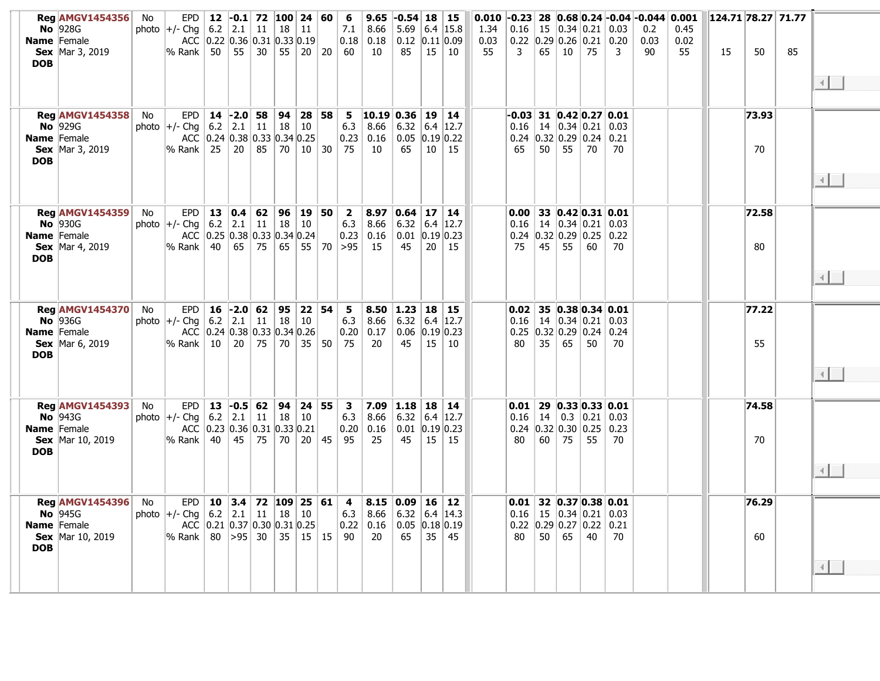| Name Female<br><b>DOB</b> | <b>Reg AMGV1454356</b><br><b>No</b> 928G<br><b>Sex</b> Mar 3, 2019                       | No | <b>EPD</b><br>photo $ +/-$ Chg<br> % Rank                                | 6.2<br>50 | $12$ -0.1<br>2.1<br>ACC 0.22 0.36 0.31 0.33 0.19<br>55                                                | 11<br>30 | 72 100 24 60<br>18                     | 11<br>$55 \mid 20 \mid 20$      | -6<br>7.1<br>60                                            | 9.65<br>8.66<br>$0.18$ 0.18<br>10    | $-0.54$ 18<br>5.69<br>$0.12$ 0.11 0.09<br>85  | 15       | 15<br>6.4 $ 15.8$<br>10                          | 0.010<br>1.34<br>0.03<br>55 | $-0.23$<br>0.16<br>3  | 28<br>15<br>65  | 0.34 0.21 0.03<br>$0.22$ 0.29 0.26 0.21 0.20<br>10                                             | 75                    | 3          | $ 0.68 0.24 $ -0.04 -0.044 0.001<br>0.2<br>0.03<br>90 | 0.45<br>0.02<br>55 | 124.71 78.27 71.77<br>15 | 50          | 85 | $\left\vert 1\right\rangle$   |
|---------------------------|------------------------------------------------------------------------------------------|----|--------------------------------------------------------------------------|-----------|-------------------------------------------------------------------------------------------------------|----------|----------------------------------------|---------------------------------|------------------------------------------------------------|--------------------------------------|-----------------------------------------------|----------|--------------------------------------------------|-----------------------------|-----------------------|-----------------|------------------------------------------------------------------------------------------------|-----------------------|------------|-------------------------------------------------------|--------------------|--------------------------|-------------|----|-------------------------------|
| <b>DOB</b>                | <b>Reg AMGV1454358</b><br><b>No</b> 929G<br>Name Female<br><b>Sex</b> Mar 3, 2019        | No | <b>EPD</b><br>photo $ +/-$ Chg $ $<br>$\%$ Rank $\parallel$              | 25        | $14$ -2.0 58<br>$6.2$   2.1  <br>ACC 0.24 0.38 0.33 0.34 0.25<br>20 <sup>1</sup>                      | 85       | $11 \mid 18 \mid 10$<br>  70   10   30 | 94   28   58                    | 5 <sub>5</sub><br>6.3<br>0.23<br>75                        | 10.19 0.36<br>8.66<br>0.16<br>10     | 6.32<br>0.05<br>65                            | 19<br>10 | $\vert$ 14<br> 6.4 12.7<br> 0.19 0.22<br>15      |                             | -0.03  <br>0.16<br>65 | 50              | 31 $ 0.42 0.27 0.01$<br>14 $ 0.34 0.21 0.03$<br>$0.24$ 0.32 0.29 0.24<br>55                    | 70                    | 0.21<br>70 |                                                       |                    |                          | 73.93<br>70 |    | $\left\vert 1\right\rangle$   |
| <b>DOB</b>                | <b>Reg AMGV1454359</b><br>No $ 930G$<br>Name Female<br><b>Sex</b> Mar 4, 2019            | No | <b>EPD</b><br>photo $ +/-$ Chg<br>$\%$ Rank $\parallel$                  | 6.2<br>40 | 13 0.4 62 96 19 50<br>2.1<br>ACC 0.25 0.38 0.33 0.34 0.24<br>$65 \mid$                                | 11       | 18                                     | 10                              | $\overline{\mathbf{2}}$<br>6.3<br>75   65   55   70   > 95 | 8.97<br>8.66<br>$0.23$ 0.16<br>15    | 0.64<br>6.32<br>$0.01$ 0.19 0.23<br>45        | 17<br>20 | 14<br>$6.4$   12.7<br>15                         |                             | 0.00<br>0.16<br>75    | $45 \mid$       | 33 0.42 0.31 0.01<br>14   0.34   0.21   0.03<br>$0.24$   0.32   0.29   0.25   0.22<br>55       | 60                    | 70         |                                                       |                    |                          | 72.58<br>80 |    | ⊣⊟                            |
| <b>DOB</b>                | <b>Reg AMGV1454370</b><br><b>No</b> 936G<br><b>Name</b> Female<br><b>Sex</b> Mar 6, 2019 | No | <b>EPD</b><br>photo $ +/-$ Chg<br>$\%$ Rank $\parallel$ 10               | 16        | $ -2.0 62 $<br>6.2   2.1  <br>ACC 0.24 0.38 0.33 0.34 0.26<br>20 <sup>1</sup>                         | 11<br>75 | 95<br>18                               | 22 54<br>$\vert$ 10<br>70 35 50 | 5<br>6.3<br>0.20<br>75                                     | $8.50$   1.23<br>8.66<br> 0.17<br>20 | 6.32<br>0.06<br>45                            | 18       | 15<br>$6.4$   12.7<br> 0.19 0.23<br>$15 \mid 10$ |                             | 0.02<br>0.16<br>80    | 35              | 35 0.38 0.34 0.01<br>14 $ 0.34 0.21 0.03$<br>$0.25$ 0.32 0.29 0.24 0.24<br>65                  | 50                    | 70         |                                                       |                    |                          | 77.22<br>55 |    | $\overline{4}$ $\overline{1}$ |
| <b>DOB</b>                | <b>Reg AMGV1454393</b><br>No $ 943G$<br>Name Female<br><b>Sex</b> Mar 10, 2019           | No | EPD<br>photo $ +/-$ Chg<br>$\%$ Rank $\ $                                | 40        | $13$ -0.5 62<br>6.2   2.1<br>ACC $\vert 0.23 \vert 0.36 \vert 0.31 \vert 0.33 \vert 0.21 \vert$<br>45 | 11<br>75 | 94<br>18<br>70                         | 24 55<br>10<br>20 45            | $\overline{\mathbf{3}}$<br>6.3<br>0.20<br>95               | 8.66<br>0.16<br>25                   | $7.09$ 1.18<br>6.32<br>$0.01$ 0.19 0.23<br>45 | 18<br>15 | 14<br> 6.4 12.7<br>$\vert$ 15                    |                             | 0.01<br>0.16<br>80    | 14<br>60        | 29 0.33 0.33 0.01<br>$0.24$ 0.32 0.30 0.25 0.23<br>75                                          | $0.3$ 0.21 0.03<br>55 | 70         |                                                       |                    |                          | 74.58<br>70 |    | ∢∥∴                           |
| Name Female<br><b>DOB</b> | <b>Reg AMGV1454396</b><br>No $ 945G$<br><b>Sex</b> Mar 10, 2019                          | No | <b>EPD</b><br>photo $ +/-$ Chg<br>% Rank   80   > 95   30   35   15   15 |           | 10 3.4 72 109 25 61<br>6.2   2.1<br>ACC 0.21 0.37 0.30 0.31 0.25                                      | 11       | 18                                     | $\vert$ 10                      | $\overline{4}$<br>6.3<br>90                                | 8.66<br>$0.22 \mid 0.16$<br>20       | $8.15 \,   \, 0.09$<br>6.32<br>0.05<br>65     | 16<br>35 | $\vert$ 12<br>6.4 $ 14.3$<br> 0.18 0.19<br>45    |                             | 0.01<br>0.16<br>80    | 50 <sup>1</sup> | 32 $ 0.37 0.38 0.01$<br>$15 \mid 0.34 \mid 0.21 \mid 0.03$<br>$0.22$ 0.29 0.27 0.22 0.21<br>65 | 40                    | 70         |                                                       |                    |                          | 76.29<br>60 |    | $\left\vert 1\right\rangle$   |